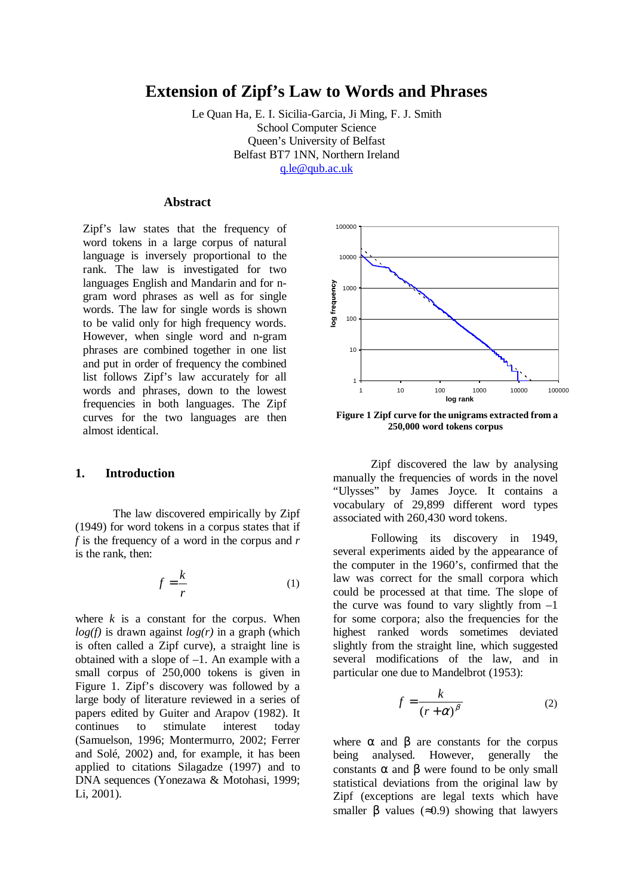# **Extension of Zipf's Law to Words and Phrases**

Le Quan Ha, E. I. Sicilia-Garcia, Ji Ming, F. J. Smith School Computer Science Queen's University of Belfast Belfast BT7 1NN, Northern Ireland q.le@qub.ac.uk

## **Abstract**

Zipf's law states that the frequency of word tokens in a large corpus of natural language is inversely proportional to the rank. The law is investigated for two languages English and Mandarin and for ngram word phrases as well as for single words. The law for single words is shown to be valid only for high frequency words. However, when single word and n-gram phrases are combined together in one list and put in order of frequency the combined list follows Zipf's law accurately for all words and phrases, down to the lowest frequencies in both languages. The Zipf curves for the two languages are then almost identical.

## **1. Introduction**

The law discovered empirically by Zipf (1949) for word tokens in a corpus states that if *f* is the frequency of a word in the corpus and *r* is the rank, then:

$$
f = \frac{k}{r} \tag{1}
$$

where  $k$  is a constant for the corpus. When  $log(f)$  is drawn against  $log(r)$  in a graph (which is often called a Zipf curve), a straight line is obtained with a slope of  $-1$ . An example with a small corpus of 250,000 tokens is given in Figure 1. Zipf's discovery was followed by a large body of literature reviewed in a series of papers edited by Guiter and Arapov (1982). It continues to stimulate interest today (Samuelson, 1996; Montermurro, 2002; Ferrer and Solé, 2002) and, for example, it has been applied to citations Silagadze (1997) and to DNA sequences (Yonezawa & Motohasi, 1999; Li, 2001).



**Figure 1 Zipf curve for the unigrams extracted from a 250,000 word tokens corpus**

Zipf discovered the law by analysing manually the frequencies of words in the novel "Ulysses" by James Joyce. It contains a vocabulary of 29,899 different word types associated with 260,430 word tokens.

Following its discovery in 1949, several experiments aided by the appearance of the computer in the 1960's, confirmed that the law was correct for the small corpora which could be processed at that time. The slope of the curve was found to vary slightly from  $-1$ for some corpora; also the frequencies for the highest ranked words sometimes deviated slightly from the straight line, which suggested several modifications of the law, and in particular one due to Mandelbrot (1953):

$$
f = \frac{k}{(r + \alpha)^{\beta}}
$$
 (2)

where  $\alpha$  and  $\beta$  are constants for the corpus being analysed. However, generally the constants  $\alpha$  and  $\beta$  were found to be only small statistical deviations from the original law by Zipf (exceptions are legal texts which have smaller  $\beta$  values ( $\approx 0.9$ ) showing that lawyers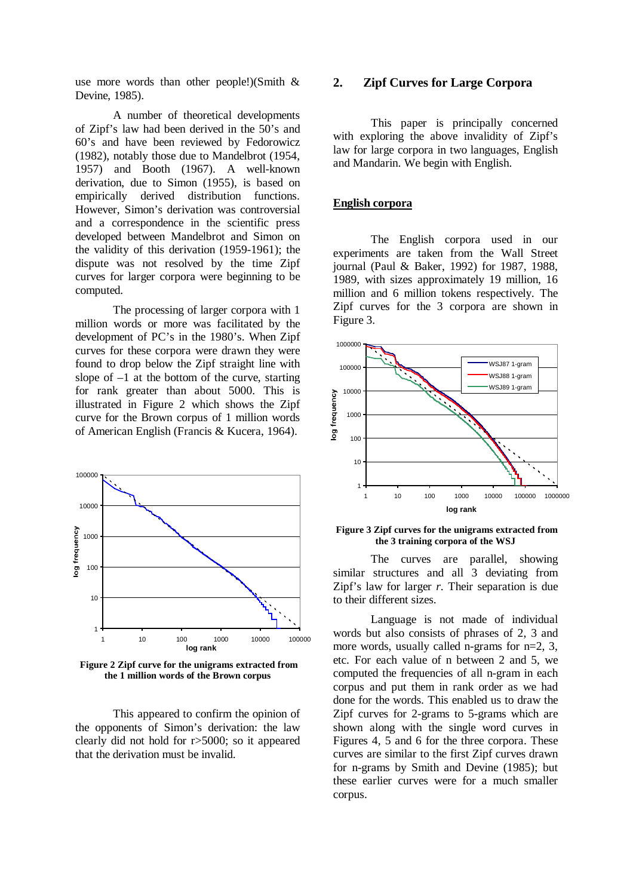use more words than other people!)(Smith & Devine, 1985).

A number of theoretical developments of Zipf's law had been derived in the 50's and 60's and have been reviewed by Fedorowicz (1982), notably those due to Mandelbrot (1954, 1957) and Booth (1967). A well-known derivation, due to Simon (1955), is based on empirically derived distribution functions. However, Simon's derivation was controversial and a correspondence in the scientific press developed between Mandelbrot and Simon on the validity of this derivation (1959-1961); the dispute was not resolved by the time Zipf curves for larger corpora were beginning to be computed.

The processing of larger corpora with 1 million words or more was facilitated by the development of PC's in the 1980's. When Zipf curves for these corpora were drawn they were found to drop below the Zipf straight line with slope of  $-1$  at the bottom of the curve, starting for rank greater than about 5000. This is illustrated in Figure 2 which shows the Zipf curve for the Brown corpus of 1 million words of American English (Francis & Kucera, 1964).



 **Figure 2 Zipf curve for the unigrams extracted from the 1 million words of the Brown corpus**

This appeared to confirm the opinion of the opponents of Simon's derivation: the law clearly did not hold for r>5000; so it appeared that the derivation must be invalid.

## **2. Zipf Curves for Large Corpora**

This paper is principally concerned with exploring the above invalidity of Zipf's law for large corpora in two languages, English and Mandarin. We begin with English.

## **English corpora**

The English corpora used in our experiments are taken from the Wall Street journal (Paul & Baker, 1992) for 1987, 1988, 1989, with sizes approximately 19 million, 16 million and 6 million tokens respectively. The Zipf curves for the 3 corpora are shown in Figure 3.



#### **Figure 3 Zipf curves for the unigrams extracted from the 3 training corpora of the WSJ**

The curves are parallel, showing similar structures and all  $\overline{3}$  deviating from Zipf's law for larger *r*. Their separation is due to their different sizes.

Language is not made of individual words but also consists of phrases of 2, 3 and more words, usually called n-grams for  $n=2, 3$ , etc. For each value of n between 2 and 5, we computed the frequencies of all n-gram in each corpus and put them in rank order as we had done for the words. This enabled us to draw the Zipf curves for 2-grams to 5-grams which are shown along with the single word curves in Figures 4, 5 and 6 for the three corpora. These curves are similar to the first Zipf curves drawn for n-grams by Smith and Devine (1985); but these earlier curves were for a much smaller corpus.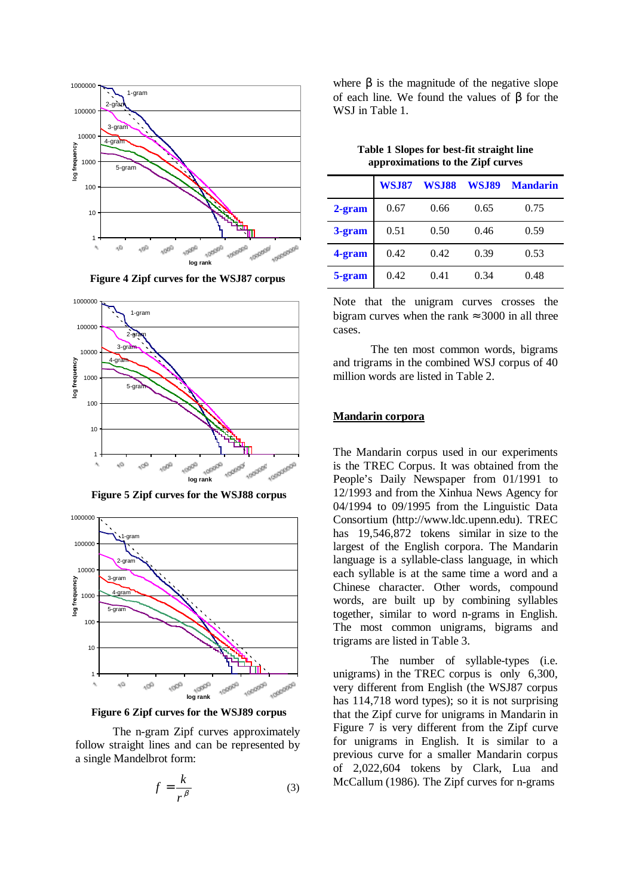



**Figure 4 Zipf curves for the WSJ87 corpus**

 **Figure 5 Zipf curves for the WSJ88 corpus**



**Figure 6 Zipf curves for the WSJ89 corpus**

The n-gram Zipf curves approximately follow straight lines and can be represented by a single Mandelbrot form:

$$
f = \frac{k}{r^{\beta}}
$$
 (3)

where  $\beta$  is the magnitude of the negative slope of each line. We found the values of β for the WSJ in Table 1.

|           | <b>WSJ87</b> | <b>WSJ88</b> | <b>WSJ89</b> | <b>Mandarin</b> |
|-----------|--------------|--------------|--------------|-----------------|
| $2$ -gram | 0.67         | 0.66         | 0.65         | 0.75            |
| 3-gram    | 0.51         | 0.50         | 0.46         | 0.59            |
| 4-gram    | 0.42         | 0.42         | 0.39         | 0.53            |
| 5-gram    | 0.42         | 0.41         | 0.34         | 0.48            |

**Table 1 Slopes for best-fit straight line approximations to the Zipf curves** 

Note that the unigram curves crosses the bigram curves when the rank  $\approx 3000$  in all three cases.

The ten most common words, bigrams and trigrams in the combined WSJ corpus of 40 million words are listed in Table 2.

#### **Mandarin corpora**

The Mandarin corpus used in our experiments is the TREC Corpus. It was obtained from the People's Daily Newspaper from 01/1991 to 12/1993 and from the Xinhua News Agency for 04/1994 to 09/1995 from the Linguistic Data Consortium (http://www.ldc.upenn.edu). TREC has 19,546,872 tokens similar in size to the largest of the English corpora. The Mandarin language is a syllable-class language, in which each syllable is at the same time a word and a Chinese character. Other words, compound words, are built up by combining syllables together, similar to word n-grams in English. The most common unigrams, bigrams and trigrams are listed in Table 3.

The number of syllable-types (i.e. unigrams) in the TREC corpus is only 6,300, very different from English (the WSJ87 corpus has 114,718 word types); so it is not surprising that the Zipf curve for unigrams in Mandarin in Figure 7 is very different from the Zipf curve for unigrams in English. It is similar to a previous curve for a smaller Mandarin corpus of 2,022,604 tokens by Clark, Lua and McCallum (1986). The Zipf curves for n-grams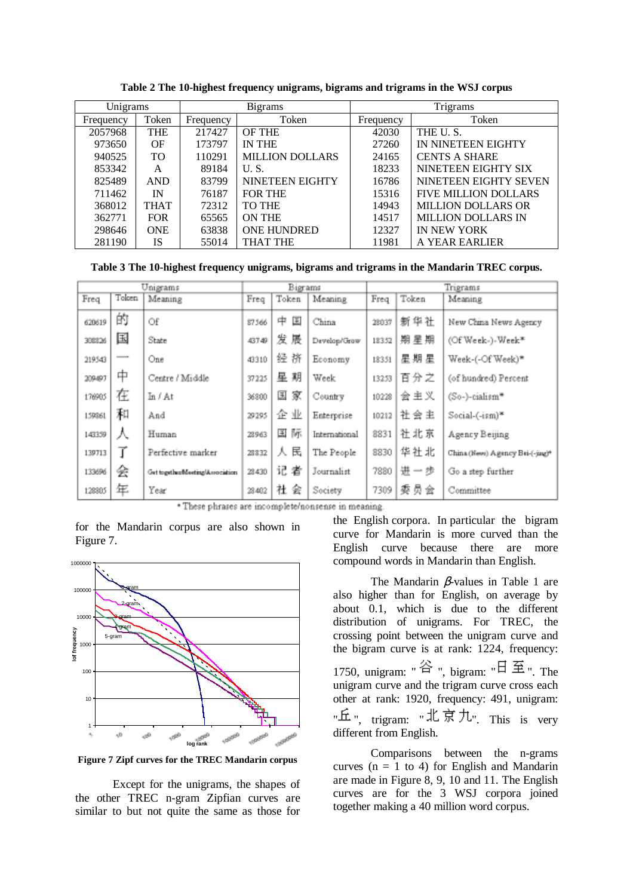| Unigrams  |             | <b>Bigrams</b> |                        | Trigrams  |                             |  |
|-----------|-------------|----------------|------------------------|-----------|-----------------------------|--|
| Frequency | Token       | Frequency      | Token                  | Frequency | Token                       |  |
| 2057968   | <b>THE</b>  | 217427         | <b>OF THE</b>          | 42030     | THE U.S.                    |  |
| 973650    | OF          | 173797         | <b>IN THE</b>          | 27260     | IN NINETEEN EIGHTY          |  |
| 940525    | <b>TO</b>   | 110291         | <b>MILLION DOLLARS</b> | 24165     | <b>CENTS A SHARE</b>        |  |
| 853342    | A           | 89184          | U.S.                   | 18233     | NINETEEN EIGHTY SIX         |  |
| 825489    | <b>AND</b>  | 83799          | NINETEEN EIGHTY        | 16786     | NINETEEN EIGHTY SEVEN       |  |
| 711462    | IN          | 76187          | <b>FOR THE</b>         | 15316     | <b>FIVE MILLION DOLLARS</b> |  |
| 368012    | <b>THAT</b> | 72312          | <b>TO THE</b>          | 14943     | <b>MILLION DOLLARS OR</b>   |  |
| 362771    | <b>FOR</b>  | 65565          | <b>ON THE</b>          | 14517     | <b>MILLION DOLLARS IN</b>   |  |
| 298646    | <b>ONE</b>  | 63838          | <b>ONE HUNDRED</b>     | 12327     | IN NEW YORK                 |  |
| 281190    | IS          | 55014          | <b>THAT THE</b>        | 11981     | A YEAR EARLIER              |  |

**Table 2 The 10-highest frequency unigrams, bigrams and trigrams in the WSJ corpus** 

**Table 3 The 10-highest frequency unigrams, bigrams and trigrams in the Mandarin TREC corpus.**

| Unigrams |       | Bigrams                          |       | Trigrams |               |       |       |                                  |
|----------|-------|----------------------------------|-------|----------|---------------|-------|-------|----------------------------------|
| Freq     | Token | Meaning                          | Freq  | Token    | Meaning       | Freq  | Token | Meaning                          |
| 620619   | 的     | Of                               | 87566 | E<br>中   | China         | 28037 | 新华社   | New China News Agency            |
| 308826   | 国     | <b>State</b>                     | 43749 | 发展       | Develop/Grow  | 18352 | 期星期   | (Of Week-)-Week*                 |
| 219543   |       | One                              | 43310 | 经挤       | Economy       | 18351 | 星期星   | Week-(-Of Week)*                 |
| 209497   | 中     | Centre / Middle                  | 37225 | 星期       | Week          | 13253 | 百分之   | (of hundred) Percent             |
| 176905   | 在     | In / At                          | 36800 | 国家       | Country       | 10228 | 会主义   | (So-)-cialism*                   |
| 159361   | 和     | And                              | 29295 | 企业       | Enterprise    | 10212 | 社会主   | $Social-(ism)*$                  |
| 143359   | ᄉ     | Human                            | 28963 | 玉际       | International | 8831  | 社北京   | Agency Beijing                   |
| 139713   |       | Perfective marker                | 28832 | 民<br>⋏   | The People    | 8830  | 华社北   | China (News) Agency Bei-(-jing)* |
| 133696   | 술     | Get together/besting/Association | 28430 | 记者       | Journalist    | 7880  | 进一步   | Go a step further                |
| 120805   | 年     | Year                             | 28402 | 社会       | Society       | 7309  | 委员会   | Committee                        |

\* These phrases are incomplete/nonsense in meaning.

for the Mandarin corpus are also shown in Figure 7.



**Figure 7 Zipf curves for the TREC Mandarin corpus** 

Except for the unigrams, the shapes of the other TREC n-gram Zipfian curves are similar to but not quite the same as those for the English corpora. In particular the bigram curve for Mandarin is more curved than the English curve because there are more compound words in Mandarin than English.

The Mandarin  $\beta$ -values in Table 1 are also higher than for English, on average by about 0.1, which is due to the different distribution of unigrams. For TREC, the crossing point between the unigram curve and the bigram curve is at rank: 1224, frequency: 1750, unigram: "  $\mathbb{A}$  ", bigram: "  $\boxplus \cong$  ", The unigram curve and the trigram curve cross each other at rank: 1920, frequency: 491, unigram: "丘", trigram: "北京九", This is very different from English.

Comparisons between the n-grams curves ( $n = 1$  to 4) for English and Mandarin are made in Figure 8, 9, 10 and 11. The English curves are for the 3 WSJ corpora joined together making a 40 million word corpus.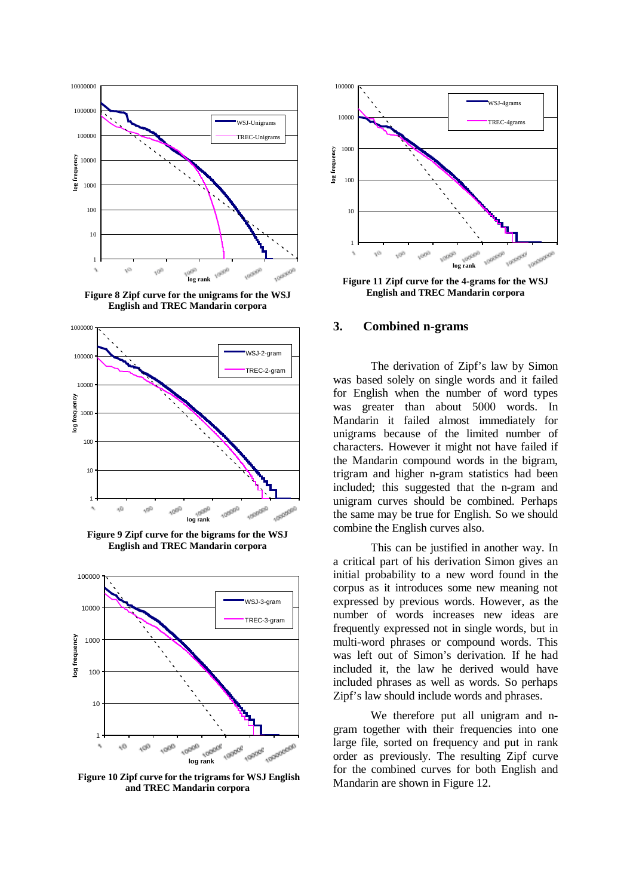

**Figure 8 Zipf curve for the unigrams for the WSJ English and TREC Mandarin corpora**



**Figure 9 Zipf curve for the bigrams for the WSJ English and TREC Mandarin corpora**



 **Figure 10 Zipf curve for the trigrams for WSJ English and TREC Mandarin corpora**



**Figure 11 Zipf curve for the 4-grams for the WSJ English and TREC Mandarin corpora**

### **3. Combined n-grams**

 The derivation of Zipf's law by Simon was based solely on single words and it failed for English when the number of word types was greater than about 5000 words. In Mandarin it failed almost immediately for unigrams because of the limited number of characters. However it might not have failed if the Mandarin compound words in the bigram, trigram and higher n-gram statistics had been included; this suggested that the n-gram and unigram curves should be combined. Perhaps the same may be true for English. So we should combine the English curves also.

 This can be justified in another way. In a critical part of his derivation Simon gives an initial probability to a new word found in the corpus as it introduces some new meaning not expressed by previous words. However, as the number of words increases new ideas are frequently expressed not in single words, but in multi-word phrases or compound words. This was left out of Simon's derivation. If he had included it, the law he derived would have included phrases as well as words. So perhaps Zipf's law should include words and phrases.

We therefore put all unigram and ngram together with their frequencies into one large file, sorted on frequency and put in rank order as previously. The resulting Zipf curve for the combined curves for both English and Mandarin are shown in Figure 12.